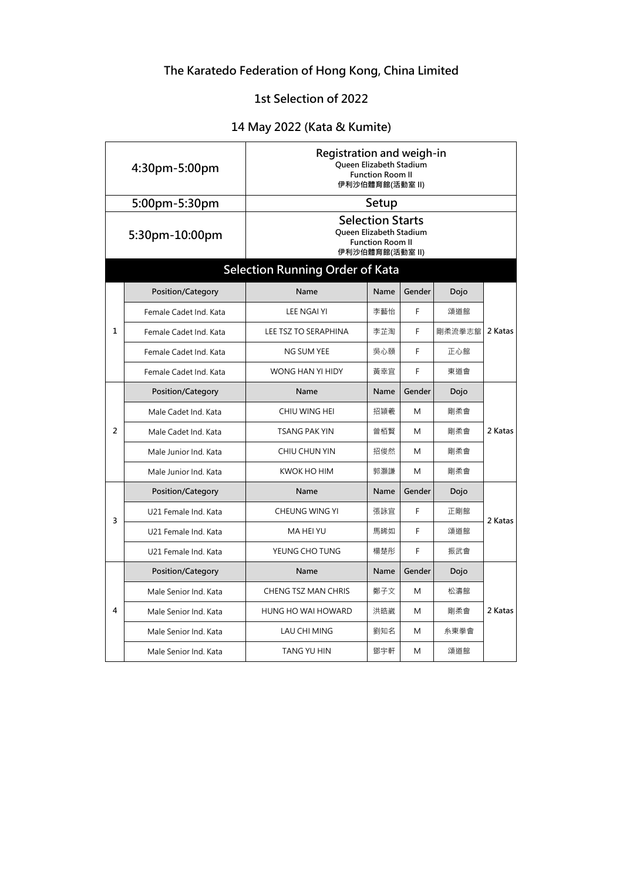# **The Karatedo Federation of Hong Kong, China Limited**

### **1st Selection of 2022**

## **14 May 2022 (Kata & Kumite)**

| 4:30pm-5:00pm  |                        | Registration and weigh-in<br>Queen Elizabeth Stadium<br><b>Function Room II</b><br>伊利沙伯體育館(活動室 II) |      |        |        |         |  |
|----------------|------------------------|----------------------------------------------------------------------------------------------------|------|--------|--------|---------|--|
|                | 5:00pm-5:30pm          | Setup                                                                                              |      |        |        |         |  |
|                | 5:30pm-10:00pm         | <b>Selection Starts</b><br>Queen Elizabeth Stadium<br><b>Function Room II</b><br>伊利沙伯體育館(活動室 II)   |      |        |        |         |  |
|                |                        | <b>Selection Running Order of Kata</b>                                                             |      |        |        |         |  |
| $\mathbf{1}$   | Position/Category      | Name                                                                                               | Name | Gender | Dojo   | 2 Katas |  |
|                | Female Cadet Ind. Kata | <b>LEE NGAI YI</b>                                                                                 | 李藝怡  | F      | 頌道館    |         |  |
|                | Female Cadet Ind. Kata | <b>LEE TSZ TO SERAPHINA</b>                                                                        | 李芷淘  | F      | 剛柔流拳志舘 |         |  |
|                | Female Cadet Ind. Kata | NG SUM YEE                                                                                         | 吳心頤  | F      | 正心館    |         |  |
|                | Female Cadet Ind. Kata | WONG HAN YI HIDY                                                                                   | 黃幸宜  | F      | 東道會    |         |  |
|                | Position/Category      | Name                                                                                               | Name | Gender | Dojo   | 2 Katas |  |
| $\overline{2}$ | Male Cadet Ind. Kata   | CHIU WING HEI                                                                                      | 招頴羲  | M      | 剛柔會    |         |  |
|                | Male Cadet Ind. Kata   | <b>TSANG PAK YIN</b>                                                                               | 曾栢賢  | M      | 剛柔會    |         |  |
|                | Male Junior Ind. Kata  | CHIU CHUN YIN                                                                                      | 招俊然  | M      | 剛柔會    |         |  |
|                | Male Junior Ind. Kata  | KWOK HO HIM                                                                                        | 郭灝謙  | M      | 剛柔會    |         |  |
|                | Position/Category      | Name                                                                                               | Name | Gender | Dojo   | 2 Katas |  |
| 3              | U21 Female Ind. Kata   | <b>CHEUNG WING YI</b>                                                                              | 張詠宜  | F      | 正剛館    |         |  |
|                | U21 Female Ind. Kata   | MA HEI YU                                                                                          | 馬睎如  | F      | 頌道館    |         |  |
|                | U21 Female Ind. Kata   | YEUNG CHO TUNG                                                                                     | 楊楚彤  | F      | 振武會    |         |  |
| 4              | Position/Category      | Name                                                                                               | Name | Gender | Dojo   | 2 Katas |  |
|                | Male Senior Ind. Kata  | <b>CHENG TSZ MAN CHRIS</b>                                                                         | 鄭子文  | M      | 松濤館    |         |  |
|                | Male Senior Ind. Kata  | <b>HUNG HO WAI HOWARD</b>                                                                          | 洪皓崴  | M      | 剛柔會    |         |  |
|                | Male Senior Ind. Kata  | LAU CHI MING                                                                                       | 劉知名  | M      | 糸東拳會   |         |  |
|                | Male Senior Ind. Kata  | <b>TANG YU HIN</b>                                                                                 | 鄧宇軒  | M      | 頌道館    |         |  |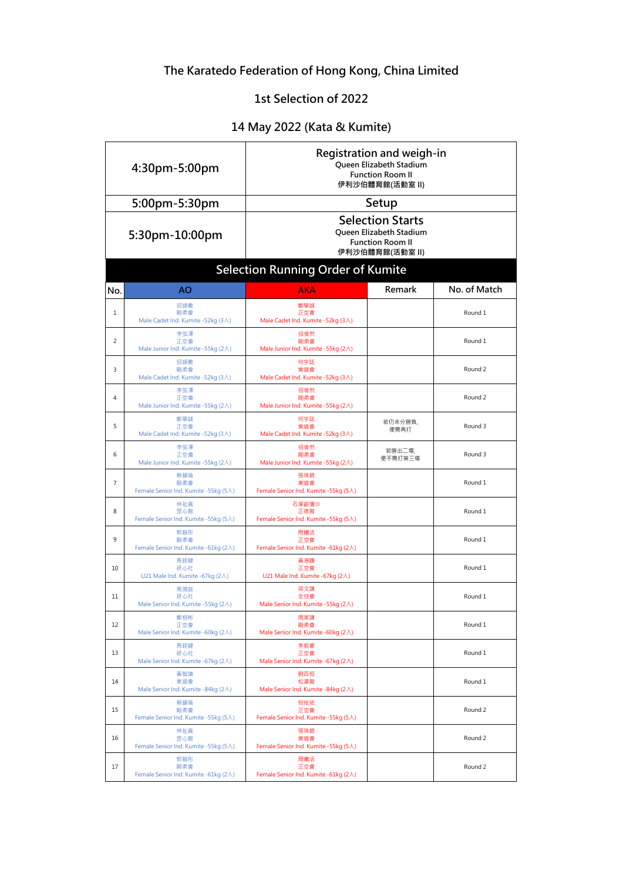# **The Karatedo Federation of Hong Kong, China Limited**

### **1st Selection of 2022**

## **14 May 2022 (Kata & Kumite)**

| 4:30pm-5:00pm |                                                    | Registration and weigh-in<br><b>Oueen Elizabeth Stadium</b><br><b>Function Room II</b><br>伊利沙伯體育館(活動室 II) |                   |                    |  |
|---------------|----------------------------------------------------|-----------------------------------------------------------------------------------------------------------|-------------------|--------------------|--|
|               | 5:00pm-5:30pm                                      | Setup                                                                                                     |                   |                    |  |
|               | 5:30pm-10:00pm                                     | <b>Selection Starts</b><br>Queen Elizabeth Stadium<br><b>Function Room II</b><br>伊利沙伯體育館(活動室 II)          |                   |                    |  |
|               |                                                    | <b>Selection Running Order of Kumite</b>                                                                  |                   |                    |  |
| No.           | AO                                                 | AKA                                                                                                       | Remark            | No. of Match       |  |
| 1             | 招頴羲<br>剛柔會<br>Male Cadet Ind. Kumite -52kg (3人)    | 鄭學誠<br>正空會<br>Male Cadet Ind. Kumite -52kg (3人)                                                           |                   | Round 1            |  |
| 2             | 李弦澤<br>正空會<br>Male Junior Ind. Kumite -55kg (2人)   | 招俊然<br>剛柔會<br>Male Junior Ind. Kumite -55kg (2人)                                                          |                   | Round 1            |  |
| 3             | 招頴羲<br>剛柔會<br>Male Cadet Ind. Kumite -52kg (3人)    | 何宇廷<br>東道會<br>Male Cadet Ind. Kumite -52kg (3人)                                                           |                   | Round 2            |  |
| 4             | 李弦澤<br>正空會<br>Male Junior Ind. Kumite -55kg (2人)   | 招俊然<br>剛柔會<br>Male Junior Ind. Kumite -55kg (2人)                                                          |                   | Round <sub>2</sub> |  |
| 5             | 鄭學誠<br>正空會<br>Male Cadet Ind. Kumite -52kg (3人)    | 何宇廷<br>東道會<br>Male Cadet Ind. Kumite -52kg (3人)                                                           | 若仍未分勝負,<br>便需再打   | Round 3            |  |
| 6             | 李弦澤<br>正空會<br>Male Junior Ind. Kumite -55kg (2人)   | 招俊然<br>剛柔會<br>Male Junior Ind. Kumite -55kg (2人)                                                          | 若勝出二場,<br>便不需打第三場 | Round 3            |  |
| 7             | 蔡韻瑜<br>剛柔會<br>Female Senior Ind. Kumite -55kg (5人) | 張珠銀<br>東道會<br>Female Senior Ind. Kumite -55kg (5人)                                                        |                   | Round 1            |  |
| 8             | 林祉真<br>罡心館<br>Female Senior Ind. Kumite -55kg (5人) | 石塚叡彌沙<br>正德館<br>Female Senior Ind. Kumite -55kg (5人)                                                      |                   | Round 1            |  |
| 9             | 郭鎧彤<br>剛柔會<br>Female Senior Ind. Kumite -61kg (2人) | 周曦活<br>正空會<br>Female Senior Ind. Kumite -61kg (2人)                                                        |                   | Round 1            |  |
| 10            | 馬銍鍵<br>研心社<br>U21 Male Ind. Kumite -67kg (2人)      | 黃港鵬<br>正空會<br>U21 Male Ind. Kumite -67kg (2人)                                                             |                   | Round 1            |  |
| 11            | 馬潤庭<br>研心社<br>Male Senior Ind. Kumite -55kg (2人)   | 梁文謙<br>全技會<br>Male Senior Ind. Kumite -55kg (2人)                                                          |                   | Round 1            |  |
| 12            | 鄭栩彬<br>正空會<br>Male Senior Ind. Kumite -60kg (2人)   | 周家謙<br>剛柔會<br>Male Senior Ind. Kumite -60kg (2人)                                                          |                   | Round 1            |  |
| 13            | 馬銍鍵<br>研心社<br>Male Senior Ind. Kumite -67kg (2人)   | 李振豪<br>正空會<br>Male Senior Ind. Kumite -67kg (2人)                                                          |                   | Round 1            |  |
| 14            | 黃智謙<br>東道會<br>Male Senior Ind. Kumite -84kg (2人)   | 劉百恒<br>松濤館<br>Male Senior Ind. Kumite -84kg (2人)                                                          |                   | Round 1            |  |
| 15            | 蔡韻瑜<br>剛柔會<br>Female Senior Ind. Kumite -55kg (5人) | 倪依依<br>正空會<br>Female Senior Ind. Kumite -55kg (5人)                                                        |                   | Round 2            |  |
| 16            | 林祉真<br>罡心館<br>Female Senior Ind. Kumite -55kg (5人) | 張珠銀<br>東道會<br>Female Senior Ind. Kumite -55kg (5人)                                                        |                   | Round 2            |  |
| 17            | 郭鎧彤<br>剛柔會<br>Female Senior Ind. Kumite -61kg (2人) | 周曦活<br>正空會<br>Female Senior Ind. Kumite -61kg (2人)                                                        |                   | Round 2            |  |